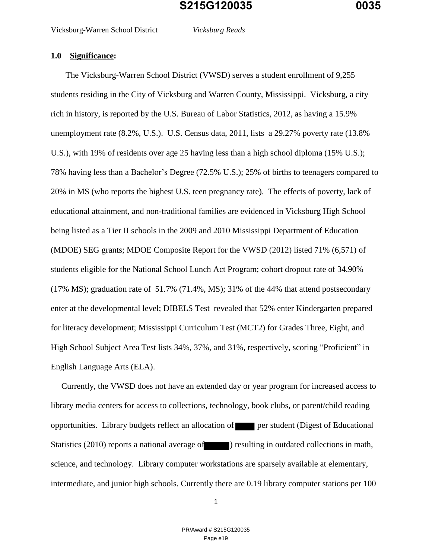The Vicksburg-Warren School District (VWSD) serves a student enrollment of 9,255 students residing in the City of Vicksburg and Warren County, Mississippi. Vicksburg, a city rich in history, is reported by the U.S. Bureau of Labor Statistics, 2012, as having a 15.9% unemployment rate (8.2%, U.S.). U.S. Census data, 2011, lists a 29.27% poverty rate (13.8% U.S.), with 19% of residents over age 25 having less than a high school diploma (15% U.S.); 78% having less than a Bachelor's Degree (72.5% U.S.); 25% of births to teenagers compared to 20% in MS (who reports the highest U.S. teen pregnancy rate). The effects of poverty, lack of educational attainment, and non-traditional families are evidenced in Vicksburg High School being listed as a Tier II schools in the 2009 and 2010 Mississippi Department of Education (MDOE) SEG grants; MDOE Composite Report for the VWSD (2012) listed 71% (6,571) of students eligible for the National School Lunch Act Program; cohort dropout rate of 34.90% (17% MS); graduation rate of 51.7% (71.4%, MS); 31% of the 44% that attend postsecondary enter at the developmental level; DIBELS Test revealed that 52% enter Kindergarten prepared for literacy development; Mississippi Curriculum Test (MCT2) for Grades Three, Eight, and High School Subject Area Test lists 34%, 37%, and 31%, respectively, scoring "Proficient" in English Language Arts (ELA).

 Currently, the VWSD does not have an extended day or year program for increased access to library media centers for access to collections, technology, book clubs, or parent/child reading opportunities. Library budgets reflect an allocation of per student (Digest of Educational Statistics (2010) reports a national average of  $\Box$  ) resulting in outdated collections in math, science, and technology. Library computer workstations are sparsely available at elementary, intermediate, and junior high schools. Currently there are 0.19 library computer stations per 100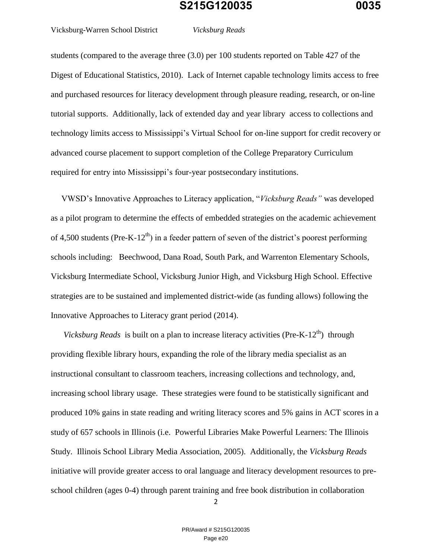Vicksburg-Warren School District *Vicksburg Reads*

students (compared to the average three (3.0) per 100 students reported on Table 427 of the Digest of Educational Statistics, 2010). Lack of Internet capable technology limits access to free and purchased resources for literacy development through pleasure reading, research, or on-line tutorial supports. Additionally, lack of extended day and year library access to collections and technology limits access to Mississippi's Virtual School for on-line support for credit recovery or advanced course placement to support completion of the College Preparatory Curriculum required for entry into Mississippi's four-year postsecondary institutions.

 VWSD's Innovative Approaches to Literacy application, "*Vicksburg Reads"* was developed as a pilot program to determine the effects of embedded strategies on the academic achievement of 4,500 students (Pre-K-12<sup>th</sup>) in a feeder pattern of seven of the district's poorest performing schools including: Beechwood, Dana Road, South Park, and Warrenton Elementary Schools, Vicksburg Intermediate School, Vicksburg Junior High, and Vicksburg High School. Effective strategies are to be sustained and implemented district-wide (as funding allows) following the Innovative Approaches to Literacy grant period (2014).

*Vicksburg Reads* is built on a plan to increase literacy activities (Pre-K-12<sup>th</sup>) through providing flexible library hours, expanding the role of the library media specialist as an instructional consultant to classroom teachers, increasing collections and technology, and, increasing school library usage. These strategies were found to be statistically significant and produced 10% gains in state reading and writing literacy scores and 5% gains in ACT scores in a study of 657 schools in Illinois (i.e. Powerful Libraries Make Powerful Learners: The Illinois Study. Illinois School Library Media Association, 2005). Additionally, the *Vicksburg Reads*  initiative will provide greater access to oral language and literacy development resources to preschool children (ages 0-4) through parent training and free book distribution in collaboration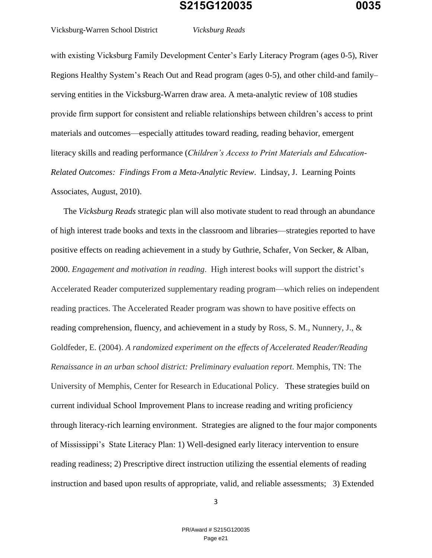Vicksburg-Warren School District *Vicksburg Reads*

with existing Vicksburg Family Development Center's Early Literacy Program (ages 0-5), River Regions Healthy System's Reach Out and Read program (ages 0-5), and other child-and family– serving entities in the Vicksburg-Warren draw area. A meta-analytic review of 108 studies provide firm support for consistent and reliable relationships between children's access to print materials and outcomes—especially attitudes toward reading, reading behavior, emergent literacy skills and reading performance (*Children's Access to Print Materials and Education-Related Outcomes: Findings From a Meta-Analytic Review*. Lindsay, J. Learning Points Associates, August, 2010).

 The *Vicksburg Reads* strategic plan will also motivate student to read through an abundance of high interest trade books and texts in the classroom and libraries—strategies reported to have positive effects on reading achievement in a study by Guthrie, Schafer, Von Secker, & Alban, 2000. *Engagement and motivation in reading*. High interest books will support the district's Accelerated Reader computerized supplementary reading program—which relies on independent reading practices. The Accelerated Reader program was shown to have positive effects on reading comprehension, fluency, and achievement in a study by Ross, S. M., Nunnery, J., & Goldfeder, E. (2004). *A randomized experiment on the effects of Accelerated Reader/Reading Renaissance in an urban school district: Preliminary evaluation report*. Memphis, TN: The University of Memphis, Center for Research in Educational Policy. These strategies build on current individual School Improvement Plans to increase reading and writing proficiency through literacy-rich learning environment. Strategies are aligned to the four major components of Mississippi's State Literacy Plan: 1) Well-designed early literacy intervention to ensure reading readiness; 2) Prescriptive direct instruction utilizing the essential elements of reading instruction and based upon results of appropriate, valid, and reliable assessments; 3) Extended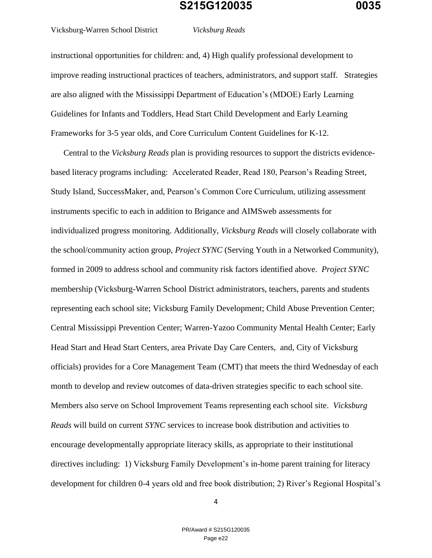Vicksburg-Warren School District *Vicksburg Reads*

instructional opportunities for children: and, 4) High qualify professional development to improve reading instructional practices of teachers, administrators, and support staff. Strategies are also aligned with the Mississippi Department of Education's (MDOE) Early Learning Guidelines for Infants and Toddlers, Head Start Child Development and Early Learning Frameworks for 3-5 year olds, and Core Curriculum Content Guidelines for K-12.

 Central to the *Vicksburg Reads* plan is providing resources to support the districts evidencebased literacy programs including: Accelerated Reader, Read 180, Pearson's Reading Street, Study Island, SuccessMaker, and, Pearson's Common Core Curriculum, utilizing assessment instruments specific to each in addition to Brigance and AIMSweb assessments for individualized progress monitoring. Additionally, *Vicksburg Reads* will closely collaborate with the school/community action group, *Project SYNC* (Serving Youth in a Networked Community), formed in 2009 to address school and community risk factors identified above. *Project SYNC* membership (Vicksburg-Warren School District administrators, teachers, parents and students representing each school site; Vicksburg Family Development; Child Abuse Prevention Center; Central Mississippi Prevention Center; Warren-Yazoo Community Mental Health Center; Early Head Start and Head Start Centers, area Private Day Care Centers, and, City of Vicksburg officials) provides for a Core Management Team (CMT) that meets the third Wednesday of each month to develop and review outcomes of data-driven strategies specific to each school site. Members also serve on School Improvement Teams representing each school site. *Vicksburg Reads* will build on current *SYNC* services to increase book distribution and activities to encourage developmentally appropriate literacy skills, as appropriate to their institutional directives including: 1) Vicksburg Family Development's in-home parent training for literacy development for children 0-4 years old and free book distribution; 2) River's Regional Hospital's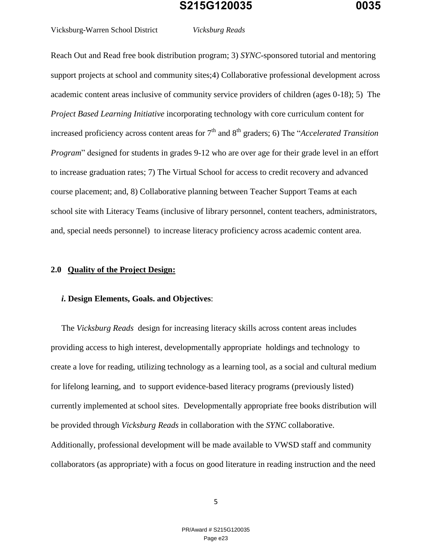Vicksburg-Warren School District *Vicksburg Reads*

Reach Out and Read free book distribution program; 3) *SYNC*-sponsored tutorial and mentoring

support projects at school and community sites;4) Collaborative professional development across academic content areas inclusive of community service providers of children (ages 0-18); 5) The *Project Based Learning Initiative* incorporating technology with core curriculum content for increased proficiency across content areas for 7<sup>th</sup> and 8<sup>th</sup> graders; 6) The "*Accelerated Transition Program*" designed for students in grades 9-12 who are over age for their grade level in an effort to increase graduation rates; 7) The Virtual School for access to credit recovery and advanced course placement; and, 8) Collaborative planning between Teacher Support Teams at each school site with Literacy Teams (inclusive of library personnel, content teachers, administrators, and, special needs personnel) to increase literacy proficiency across academic content area.

#### **2.0 Quality of the Project Design:**

#### *i***. Design Elements, Goals. and Objectives**:

 The *Vicksburg Reads* design for increasing literacy skills across content areas includes providing access to high interest, developmentally appropriate holdings and technology to create a love for reading, utilizing technology as a learning tool, as a social and cultural medium for lifelong learning, and to support evidence-based literacy programs (previously listed) currently implemented at school sites. Developmentally appropriate free books distribution will be provided through *Vicksburg Reads* in collaboration with the *SYNC* collaborative. Additionally, professional development will be made available to VWSD staff and community collaborators (as appropriate) with a focus on good literature in reading instruction and the need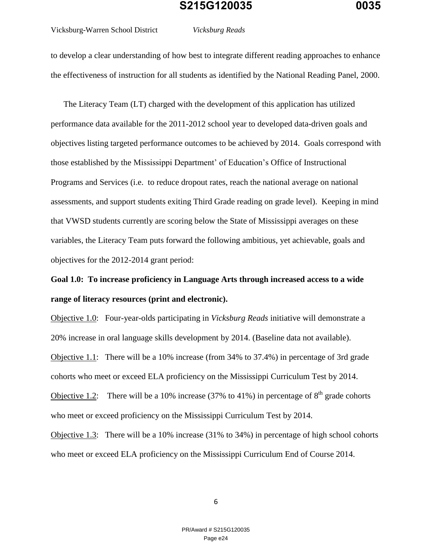#### Vicksburg-Warren School District *Vicksburg Reads*

to develop a clear understanding of how best to integrate different reading approaches to enhance the effectiveness of instruction for all students as identified by the National Reading Panel, 2000.

 The Literacy Team (LT) charged with the development of this application has utilized performance data available for the 2011-2012 school year to developed data-driven goals and objectives listing targeted performance outcomes to be achieved by 2014. Goals correspond with those established by the Mississippi Department' of Education's Office of Instructional Programs and Services (i.e. to reduce dropout rates, reach the national average on national assessments, and support students exiting Third Grade reading on grade level). Keeping in mind that VWSD students currently are scoring below the State of Mississippi averages on these variables, the Literacy Team puts forward the following ambitious, yet achievable, goals and objectives for the 2012-2014 grant period:

**Goal 1.0: To increase proficiency in Language Arts through increased access to a wide range of literacy resources (print and electronic).**

Objective 1.0: Four-year-olds participating in *Vicksburg Reads* initiative will demonstrate a 20% increase in oral language skills development by 2014. (Baseline data not available).

Objective 1.1: There will be a 10% increase (from 34% to 37.4%) in percentage of 3rd grade cohorts who meet or exceed ELA proficiency on the Mississippi Curriculum Test by 2014.

Objective 1.2: There will be a 10% increase (37% to 41%) in percentage of  $8<sup>th</sup>$  grade cohorts who meet or exceed proficiency on the Mississippi Curriculum Test by 2014.

Objective 1.3: There will be a 10% increase (31% to 34%) in percentage of high school cohorts who meet or exceed ELA proficiency on the Mississippi Curriculum End of Course 2014.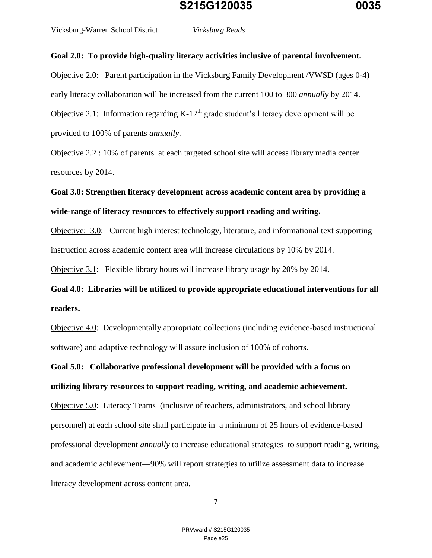Vicksburg-Warren School District *Vicksburg Reads*

**Goal 2.0: To provide high-quality literacy activities inclusive of parental involvement.** 

Objective 2.0: Parent participation in the Vicksburg Family Development /VWSD (ages 0-4) early literacy collaboration will be increased from the current 100 to 300 *annually* by 2014. Objective 2.1: Information regarding  $K-12<sup>th</sup>$  grade student's literacy development will be provided to 100% of parents *annually*.

Objective 2.2 : 10% of parents at each targeted school site will access library media center resources by 2014.

**Goal 3.0: Strengthen literacy development across academic content area by providing a wide-range of literacy resources to effectively support reading and writing.**

Objective: 3.0: Current high interest technology, literature, and informational text supporting instruction across academic content area will increase circulations by 10% by 2014.

Objective 3.1: Flexible library hours will increase library usage by 20% by 2014.

**Goal 4.0: Libraries will be utilized to provide appropriate educational interventions for all readers.**

Objective 4.0: Developmentally appropriate collections (including evidence-based instructional software) and adaptive technology will assure inclusion of 100% of cohorts.

**Goal 5.0: Collaborative professional development will be provided with a focus on utilizing library resources to support reading, writing, and academic achievement.**

Objective 5.0: Literacy Teams (inclusive of teachers, administrators, and school library personnel) at each school site shall participate in a minimum of 25 hours of evidence-based professional development *annually* to increase educational strategies to support reading, writing, and academic achievement—90% will report strategies to utilize assessment data to increase literacy development across content area.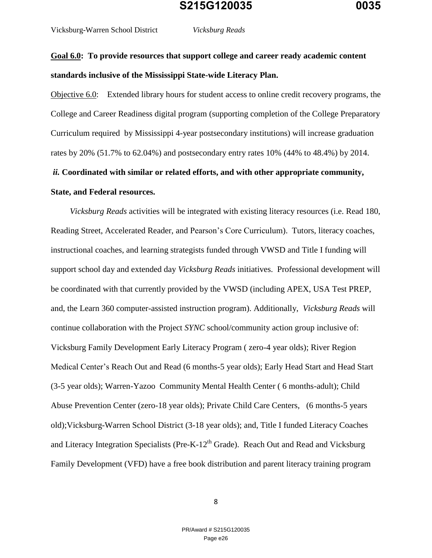# **Goal 6.0: To provide resources that support college and career ready academic content standards inclusive of the Mississippi State-wide Literacy Plan.**

Objective 6.0: Extended library hours for student access to online credit recovery programs, the College and Career Readiness digital program (supporting completion of the College Preparatory Curriculum required by Mississippi 4-year postsecondary institutions) will increase graduation rates by 20% (51.7% to 62.04%) and postsecondary entry rates 10% (44% to 48.4%) by 2014.

# *ii.* **Coordinated with similar or related efforts, and with other appropriate community, State, and Federal resources.**

 *Vicksburg Reads* activities will be integrated with existing literacy resources (i.e. Read 180, Reading Street, Accelerated Reader, and Pearson's Core Curriculum). Tutors, literacy coaches, instructional coaches, and learning strategists funded through VWSD and Title I funding will support school day and extended day *Vicksburg Reads* initiatives. Professional development will be coordinated with that currently provided by the VWSD (including APEX, USA Test PREP, and, the Learn 360 computer-assisted instruction program). Additionally, *Vicksburg Reads* will continue collaboration with the Project *SYNC* school/community action group inclusive of: Vicksburg Family Development Early Literacy Program ( zero-4 year olds); River Region Medical Center's Reach Out and Read (6 months-5 year olds); Early Head Start and Head Start (3-5 year olds); Warren-Yazoo Community Mental Health Center ( 6 months-adult); Child Abuse Prevention Center (zero-18 year olds); Private Child Care Centers, (6 months-5 years old);Vicksburg-Warren School District (3-18 year olds); and, Title I funded Literacy Coaches and Literacy Integration Specialists (Pre-K- $12<sup>th</sup>$  Grade). Reach Out and Read and Vicksburg Family Development (VFD) have a free book distribution and parent literacy training program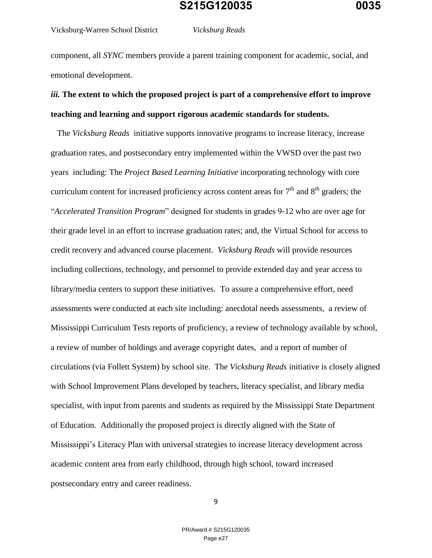Vicksburg-Warren School District *Vicksburg Reads*

component, all *SYNC* members provide a parent training component for academic, social, and emotional development.

# *iii.* **The extent to which the proposed project is part of a comprehensive effort to improve teaching and learning and support rigorous academic standards for students.**

The *Vicksburg Reads* initiative supports innovative programs to increase literacy, increase graduation rates, and postsecondary entry implemented within the VWSD over the past two years including: The *Project Based Learning Initiative* incorporating technology with core curriculum content for increased proficiency across content areas for  $7<sup>th</sup>$  and  $8<sup>th</sup>$  graders; the "*Accelerated Transition Program*" designed for students in grades 9-12 who are over age for their grade level in an effort to increase graduation rates; and, the Virtual School for access to credit recovery and advanced course placement. *Vicksburg Reads* will provide resources including collections, technology, and personnel to provide extended day and year access to library/media centers to support these initiatives. To assure a comprehensive effort, need assessments were conducted at each site including: anecdotal needs assessments, a review of Mississippi Curriculum Tests reports of proficiency, a review of technology available by school, a review of number of holdings and average copyright dates, and a report of number of circulations (via Follett System) by school site. The *Vicksburg Reads* initiative is closely aligned with School Improvement Plans developed by teachers, literacy specialist, and library media specialist, with input from parents and students as required by the Mississippi State Department of Education. Additionally the proposed project is directly aligned with the State of Mississippi's Literacy Plan with universal strategies to increase literacy development across academic content area from early childhood, through high school, toward increased postsecondary entry and career readiness.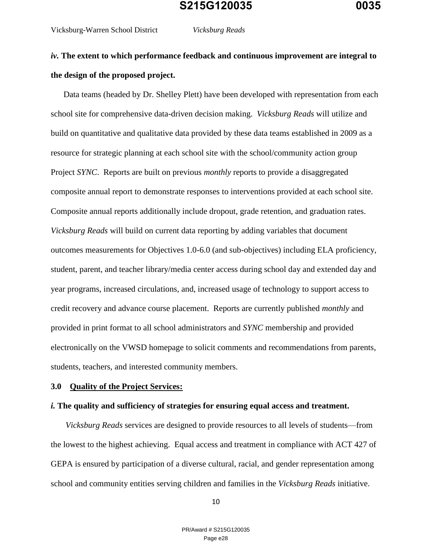Vicksburg-Warren School District *Vicksburg Reads*

# *iv.* **The extent to which performance feedback and continuous improvement are integral to the design of the proposed project.**

 Data teams (headed by Dr. Shelley Plett) have been developed with representation from each school site for comprehensive data-driven decision making. *Vicksburg Reads* will utilize and build on quantitative and qualitative data provided by these data teams established in 2009 as a resource for strategic planning at each school site with the school/community action group Project *SYNC*. Reports are built on previous *monthly* reports to provide a disaggregated composite annual report to demonstrate responses to interventions provided at each school site. Composite annual reports additionally include dropout, grade retention, and graduation rates. *Vicksburg Reads* will build on current data reporting by adding variables that document outcomes measurements for Objectives 1.0-6.0 (and sub-objectives) including ELA proficiency, student, parent, and teacher library/media center access during school day and extended day and year programs, increased circulations, and, increased usage of technology to support access to credit recovery and advance course placement. Reports are currently published *monthly* and provided in print format to all school administrators and *SYNC* membership and provided electronically on the VWSD homepage to solicit comments and recommendations from parents, students, teachers, and interested community members.

#### **3.0 Quality of the Project Services:**

#### *i.* **The quality and sufficiency of strategies for ensuring equal access and treatment.**

 *Vicksburg Reads* services are designed to provide resources to all levels of students—from the lowest to the highest achieving. Equal access and treatment in compliance with ACT 427 of GEPA is ensured by participation of a diverse cultural, racial, and gender representation among school and community entities serving children and families in the *Vicksburg Reads* initiative.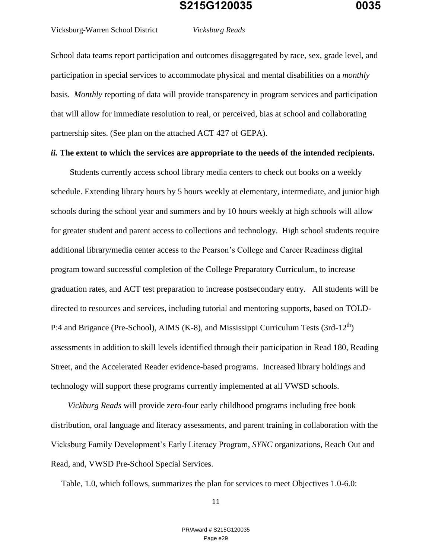Vicksburg-Warren School District *Vicksburg Reads*

School data teams report participation and outcomes disaggregated by race, sex, grade level, and participation in special services to accommodate physical and mental disabilities on a *monthly* basis. *Monthly* reporting of data will provide transparency in program services and participation that will allow for immediate resolution to real, or perceived, bias at school and collaborating partnership sites. (See plan on the attached ACT 427 of GEPA).

#### *ii.* **The extent to which the services are appropriate to the needs of the intended recipients.**

 Students currently access school library media centers to check out books on a weekly schedule. Extending library hours by 5 hours weekly at elementary, intermediate, and junior high schools during the school year and summers and by 10 hours weekly at high schools will allow for greater student and parent access to collections and technology. High school students require additional library/media center access to the Pearson's College and Career Readiness digital program toward successful completion of the College Preparatory Curriculum, to increase graduation rates, and ACT test preparation to increase postsecondary entry. All students will be directed to resources and services, including tutorial and mentoring supports, based on TOLD-P:4 and Brigance (Pre-School), AIMS (K-8), and Mississippi Curriculum Tests (3rd-12<sup>th</sup>) assessments in addition to skill levels identified through their participation in Read 180, Reading Street, and the Accelerated Reader evidence-based programs. Increased library holdings and technology will support these programs currently implemented at all VWSD schools.

 *Vickburg Reads* will provide zero-four early childhood programs including free book distribution, oral language and literacy assessments, and parent training in collaboration with the Vicksburg Family Development's Early Literacy Program, *SYNC* organizations, Reach Out and Read, and, VWSD Pre-School Special Services.

Table, 1.0, which follows, summarizes the plan for services to meet Objectives 1.0-6.0: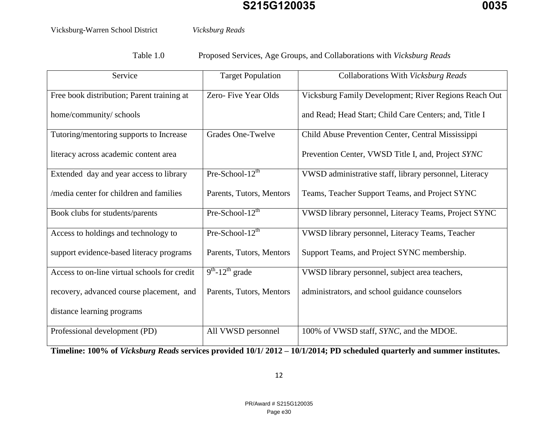Vicksburg-Warren School District *Vicksburg Reads*

Table 1.0 Proposed Services, Age Groups, and Collaborations with *Vicksburg Reads*

| Service                                      | <b>Target Population</b> | Collaborations With Vicksburg Reads                    |  |
|----------------------------------------------|--------------------------|--------------------------------------------------------|--|
| Free book distribution; Parent training at   | Zero- Five Year Olds     | Vicksburg Family Development; River Regions Reach Out  |  |
| home/community/ schools                      |                          | and Read; Head Start; Child Care Centers; and, Title I |  |
| Tutoring/mentoring supports to Increase      | Grades One-Twelve        | Child Abuse Prevention Center, Central Mississippi     |  |
| literacy across academic content area        |                          | Prevention Center, VWSD Title I, and, Project SYNC     |  |
| Extended day and year access to library      | Pre-School- $12^{th}$    | VWSD administrative staff, library personnel, Literacy |  |
| /media center for children and families      | Parents, Tutors, Mentors | Teams, Teacher Support Teams, and Project SYNC         |  |
| Book clubs for students/parents              | Pre-School- $12th$       | VWSD library personnel, Literacy Teams, Project SYNC   |  |
| Access to holdings and technology to         | Pre-School- $12^{th}$    | VWSD library personnel, Literacy Teams, Teacher        |  |
| support evidence-based literacy programs     | Parents, Tutors, Mentors | Support Teams, and Project SYNC membership.            |  |
| Access to on-line virtual schools for credit | $9th - 12th$ grade       | VWSD library personnel, subject area teachers,         |  |
| recovery, advanced course placement, and     | Parents, Tutors, Mentors | administrators, and school guidance counselors         |  |
| distance learning programs                   |                          |                                                        |  |
| Professional development (PD)                | All VWSD personnel       | 100% of VWSD staff, SYNC, and the MDOE.                |  |

**Timeline: 100% of** *Vicksburg Reads* **services provided 10/1/ 2012 – 10/1/2014; PD scheduled quarterly and summer institutes.**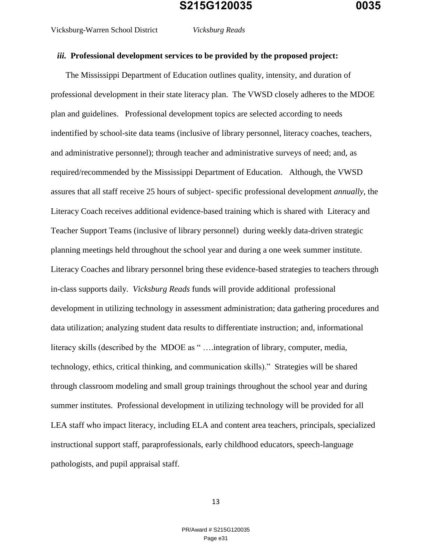Vicksburg-Warren School District *Vicksburg Reads*

#### *iii.* **Professional development services to be provided by the proposed project:**

 The Mississippi Department of Education outlines quality, intensity, and duration of professional development in their state literacy plan. The VWSD closely adheres to the MDOE plan and guidelines. Professional development topics are selected according to needs indentified by school-site data teams (inclusive of library personnel, literacy coaches, teachers, and administrative personnel); through teacher and administrative surveys of need; and, as required/recommended by the Mississippi Department of Education. Although, the VWSD assures that all staff receive 25 hours of subject- specific professional development *annually*, the Literacy Coach receives additional evidence-based training which is shared with Literacy and Teacher Support Teams (inclusive of library personnel) during weekly data-driven strategic planning meetings held throughout the school year and during a one week summer institute. Literacy Coaches and library personnel bring these evidence-based strategies to teachers through in-class supports daily. *Vicksburg Reads* funds will provide additional professional development in utilizing technology in assessment administration; data gathering procedures and data utilization; analyzing student data results to differentiate instruction; and, informational literacy skills (described by the MDOE as " ….integration of library, computer, media, technology, ethics, critical thinking, and communication skills)." Strategies will be shared through classroom modeling and small group trainings throughout the school year and during summer institutes. Professional development in utilizing technology will be provided for all LEA staff who impact literacy, including ELA and content area teachers, principals, specialized instructional support staff, paraprofessionals, early childhood educators, speech-language pathologists, and pupil appraisal staff.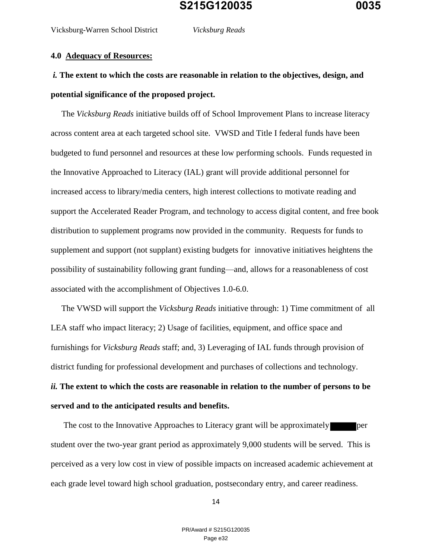#### **4.0 Adequacy of Resources:**

# *i.* **The extent to which the costs are reasonable in relation to the objectives, design, and potential significance of the proposed project.**

 The *Vicksburg Reads* initiative builds off of School Improvement Plans to increase literacy across content area at each targeted school site. VWSD and Title I federal funds have been budgeted to fund personnel and resources at these low performing schools. Funds requested in the Innovative Approached to Literacy (IAL) grant will provide additional personnel for increased access to library/media centers, high interest collections to motivate reading and support the Accelerated Reader Program, and technology to access digital content, and free book distribution to supplement programs now provided in the community. Requests for funds to supplement and support (not supplant) existing budgets for innovative initiatives heightens the possibility of sustainability following grant funding—and, allows for a reasonableness of cost associated with the accomplishment of Objectives 1.0-6.0.

 The VWSD will support the *Vicksburg Reads* initiative through: 1) Time commitment of all LEA staff who impact literacy; 2) Usage of facilities, equipment, and office space and furnishings for *Vicksburg Reads* staff; and, 3) Leveraging of IAL funds through provision of district funding for professional development and purchases of collections and technology. *ii.* **The extent to which the costs are reasonable in relation to the number of persons to be served and to the anticipated results and benefits.** 

The cost to the Innovative Approaches to Literacy grant will be approximately per student over the two-year grant period as approximately 9,000 students will be served. This is perceived as a very low cost in view of possible impacts on increased academic achievement at each grade level toward high school graduation, postsecondary entry, and career readiness.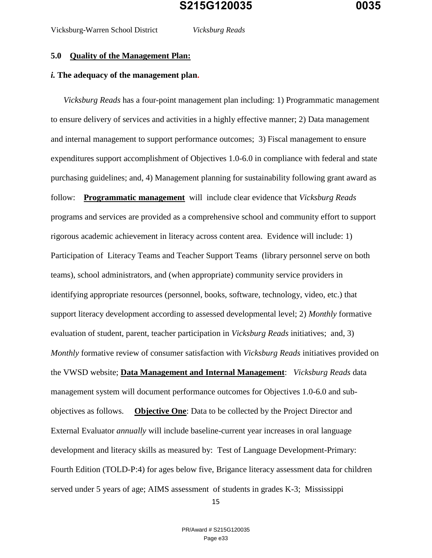#### *i.* **The adequacy of the management plan.**

 *Vicksburg Reads* has a four-point management plan including: 1) Programmatic management to ensure delivery of services and activities in a highly effective manner; 2) Data management and internal management to support performance outcomes; 3) Fiscal management to ensure expenditures support accomplishment of Objectives 1.0-6.0 in compliance with federal and state purchasing guidelines; and, 4) Management planning for sustainability following grant award as follow: **Programmatic management** will include clear evidence that *Vicksburg Reads* programs and services are provided as a comprehensive school and community effort to support rigorous academic achievement in literacy across content area. Evidence will include: 1) Participation of Literacy Teams and Teacher Support Teams (library personnel serve on both teams), school administrators, and (when appropriate) community service providers in identifying appropriate resources (personnel, books, software, technology, video, etc.) that support literacy development according to assessed developmental level; 2) *Monthly* formative evaluation of student, parent, teacher participation in *Vicksburg Reads* initiatives; and, 3) *Monthly* formative review of consumer satisfaction with *Vicksburg Reads* initiatives provided on the VWSD website; **Data Management and Internal Management**: *Vicksburg Reads* data management system will document performance outcomes for Objectives 1.0-6.0 and subobjectives as follows. **Objective One**: Data to be collected by the Project Director and External Evaluator *annually* will include baseline-current year increases in oral language development and literacy skills as measured by: Test of Language Development-Primary: Fourth Edition (TOLD-P:4) for ages below five, Brigance literacy assessment data for children served under 5 years of age; AIMS assessment of students in grades K-3; Mississippi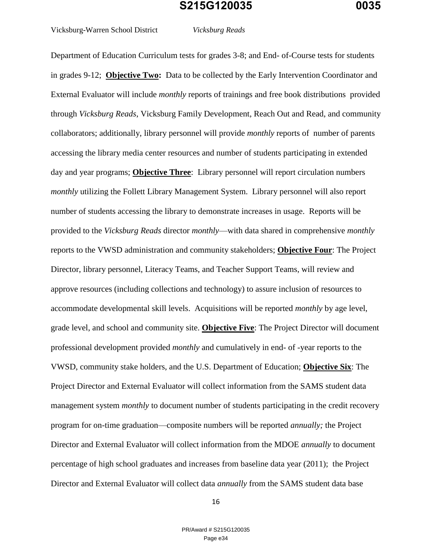Vicksburg-Warren School District *Vicksburg Reads*

Department of Education Curriculum tests for grades 3-8; and End- of-Course tests for students in grades 9-12; **Objective Two:** Data to be collected by the Early Intervention Coordinator and External Evaluator will include *monthly* reports of trainings and free book distributions provided through *Vicksburg Reads*, Vicksburg Family Development, Reach Out and Read, and community collaborators; additionally, library personnel will provide *monthly* reports of number of parents accessing the library media center resources and number of students participating in extended day and year programs; **Objective Three**: Library personnel will report circulation numbers *monthly* utilizing the Follett Library Management System. Library personnel will also report number of students accessing the library to demonstrate increases in usage. Reports will be provided to the *Vicksburg Reads* director *monthly*—with data shared in comprehensive *monthly* reports to the VWSD administration and community stakeholders; **Objective Four**: The Project Director, library personnel, Literacy Teams, and Teacher Support Teams, will review and approve resources (including collections and technology) to assure inclusion of resources to accommodate developmental skill levels. Acquisitions will be reported *monthly* by age level, grade level, and school and community site. **Objective Five**: The Project Director will document professional development provided *monthly* and cumulatively in end- of -year reports to the VWSD, community stake holders, and the U.S. Department of Education; **Objective Six**: The Project Director and External Evaluator will collect information from the SAMS student data management system *monthly* to document number of students participating in the credit recovery program for on-time graduation—composite numbers will be reported *annually;* the Project Director and External Evaluator will collect information from the MDOE *annually* to document percentage of high school graduates and increases from baseline data year (2011); the Project Director and External Evaluator will collect data *annually* from the SAMS student data base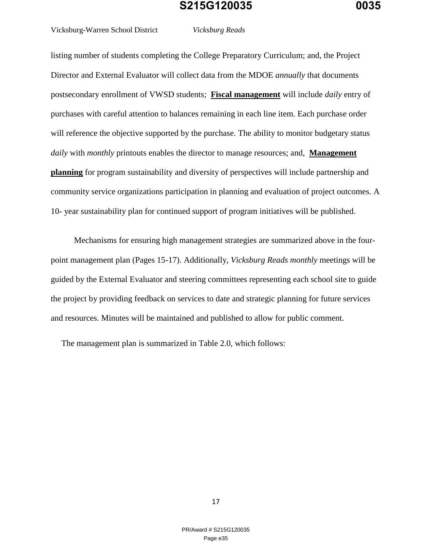Vicksburg-Warren School District *Vicksburg Reads*

listing number of students completing the College Preparatory Curriculum; and, the Project Director and External Evaluator will collect data from the MDOE *annually* that documents postsecondary enrollment of VWSD students; **Fiscal management** will include *daily* entry of purchases with careful attention to balances remaining in each line item. Each purchase order will reference the objective supported by the purchase. The ability to monitor budgetary status *daily* with *monthly* printouts enables the director to manage resources; and, **Management planning** for program sustainability and diversity of perspectives will include partnership and community service organizations participation in planning and evaluation of project outcomes. A 10- year sustainability plan for continued support of program initiatives will be published.

 Mechanisms for ensuring high management strategies are summarized above in the fourpoint management plan (Pages 15-17). Additionally, *Vicksburg Reads monthly* meetings will be guided by the External Evaluator and steering committees representing each school site to guide the project by providing feedback on services to date and strategic planning for future services and resources. Minutes will be maintained and published to allow for public comment.

The management plan is summarized in Table 2.0, which follows: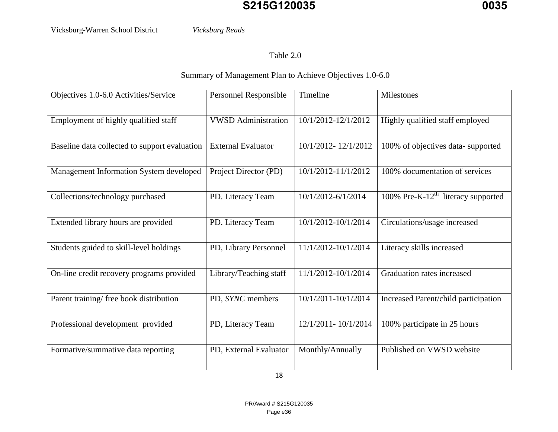Vicksburg-Warren School District *Vicksburg Reads*

Table 2.0

Summary of Management Plan to Achieve Objectives 1.0-6.0

| Objectives 1.0-6.0 Activities/Service         | Personnel Responsible      | Timeline            | Milestones                                        |
|-----------------------------------------------|----------------------------|---------------------|---------------------------------------------------|
| Employment of highly qualified staff          | <b>VWSD</b> Administration | 10/1/2012-12/1/2012 | Highly qualified staff employed                   |
| Baseline data collected to support evaluation | <b>External Evaluator</b>  | 10/1/2012-12/1/2012 | 100% of objectives data-supported                 |
| Management Information System developed       | Project Director (PD)      | 10/1/2012-11/1/2012 | 100% documentation of services                    |
| Collections/technology purchased              | PD. Literacy Team          | 10/1/2012-6/1/2014  | $100\%$ Pre-K-12 <sup>th</sup> literacy supported |
| Extended library hours are provided           | PD. Literacy Team          | 10/1/2012-10/1/2014 | Circulations/usage increased                      |
| Students guided to skill-level holdings       | PD, Library Personnel      | 11/1/2012-10/1/2014 | Literacy skills increased                         |
| On-line credit recovery programs provided     | Library/Teaching staff     | 11/1/2012-10/1/2014 | Graduation rates increased                        |
| Parent training/ free book distribution       | PD, SYNC members           | 10/1/2011-10/1/2014 | Increased Parent/child participation              |
| Professional development provided             | PD, Literacy Team          | 12/1/2011-10/1/2014 | 100% participate in 25 hours                      |
| Formative/summative data reporting            | PD, External Evaluator     | Monthly/Annually    | Published on VWSD website                         |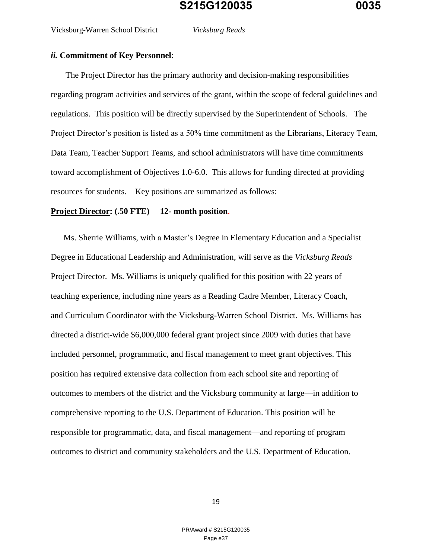#### *ii.* **Commitment of Key Personnel**:

 The Project Director has the primary authority and decision-making responsibilities regarding program activities and services of the grant, within the scope of federal guidelines and regulations. This position will be directly supervised by the Superintendent of Schools. The Project Director's position is listed as a 50% time commitment as the Librarians, Literacy Team, Data Team, Teacher Support Teams, and school administrators will have time commitments toward accomplishment of Objectives 1.0-6.0. This allows for funding directed at providing resources for students. Key positions are summarized as follows:

#### **Project Director: (.50 FTE) 12- month position**.

 Ms. Sherrie Williams, with a Master's Degree in Elementary Education and a Specialist Degree in Educational Leadership and Administration, will serve as the *Vicksburg Reads* Project Director. Ms. Williams is uniquely qualified for this position with 22 years of teaching experience, including nine years as a Reading Cadre Member, Literacy Coach, and Curriculum Coordinator with the Vicksburg-Warren School District. Ms. Williams has directed a district-wide \$6,000,000 federal grant project since 2009 with duties that have included personnel, programmatic, and fiscal management to meet grant objectives. This position has required extensive data collection from each school site and reporting of outcomes to members of the district and the Vicksburg community at large—in addition to comprehensive reporting to the U.S. Department of Education. This position will be responsible for programmatic, data, and fiscal management—and reporting of program outcomes to district and community stakeholders and the U.S. Department of Education.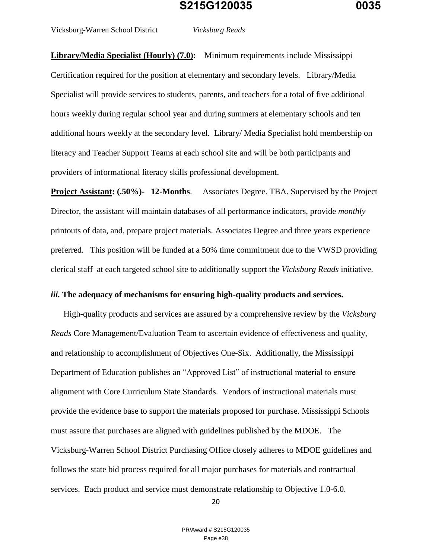Vicksburg-Warren School District *Vicksburg Reads*

**Library/Media Specialist (Hourly) (7.0):** Minimum requirements include Mississippi Certification required for the position at elementary and secondary levels. Library/Media Specialist will provide services to students, parents, and teachers for a total of five additional hours weekly during regular school year and during summers at elementary schools and ten additional hours weekly at the secondary level. Library/ Media Specialist hold membership on literacy and Teacher Support Teams at each school site and will be both participants and providers of informational literacy skills professional development.

**Project Assistant: (.50%)- 12-Months**. Associates Degree. TBA. Supervised by the Project Director, the assistant will maintain databases of all performance indicators, provide *monthly* printouts of data, and, prepare project materials. Associates Degree and three years experience preferred. This position will be funded at a 50% time commitment due to the VWSD providing clerical staff at each targeted school site to additionally support the *Vicksburg Reads* initiative.

#### *iii.* **The adequacy of mechanisms for ensuring high-quality products and services.**

 High-quality products and services are assured by a comprehensive review by the *Vicksburg Reads* Core Management/Evaluation Team to ascertain evidence of effectiveness and quality, and relationship to accomplishment of Objectives One-Six. Additionally, the Mississippi Department of Education publishes an "Approved List" of instructional material to ensure alignment with Core Curriculum State Standards. Vendors of instructional materials must provide the evidence base to support the materials proposed for purchase. Mississippi Schools must assure that purchases are aligned with guidelines published by the MDOE. The Vicksburg-Warren School District Purchasing Office closely adheres to MDOE guidelines and follows the state bid process required for all major purchases for materials and contractual services. Each product and service must demonstrate relationship to Objective 1.0-6.0.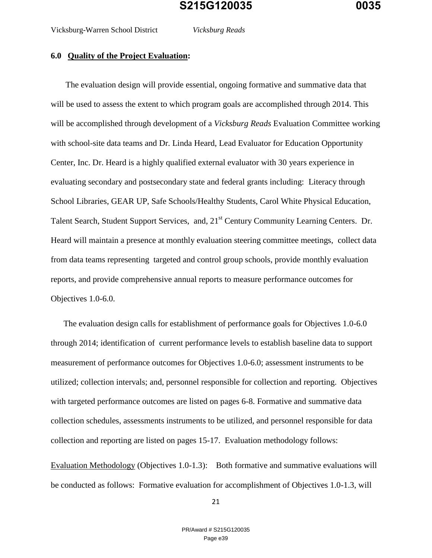#### **6.0 Quality of the Project Evaluation:**

 The evaluation design will provide essential, ongoing formative and summative data that will be used to assess the extent to which program goals are accomplished through 2014. This will be accomplished through development of a *Vicksburg Reads* Evaluation Committee working with school-site data teams and Dr. Linda Heard, Lead Evaluator for Education Opportunity Center, Inc. Dr. Heard is a highly qualified external evaluator with 30 years experience in evaluating secondary and postsecondary state and federal grants including: Literacy through School Libraries, GEAR UP, Safe Schools/Healthy Students, Carol White Physical Education, Talent Search, Student Support Services, and, 21<sup>st</sup> Century Community Learning Centers. Dr. Heard will maintain a presence at monthly evaluation steering committee meetings, collect data from data teams representing targeted and control group schools, provide monthly evaluation reports, and provide comprehensive annual reports to measure performance outcomes for Objectives 1.0-6.0.

 The evaluation design calls for establishment of performance goals for Objectives 1.0-6.0 through 2014; identification of current performance levels to establish baseline data to support measurement of performance outcomes for Objectives 1.0-6.0; assessment instruments to be utilized; collection intervals; and, personnel responsible for collection and reporting. Objectives with targeted performance outcomes are listed on pages 6-8. Formative and summative data collection schedules, assessments instruments to be utilized, and personnel responsible for data collection and reporting are listed on pages 15-17. Evaluation methodology follows:

Evaluation Methodology (Objectives 1.0-1.3): Both formative and summative evaluations will be conducted as follows: Formative evaluation for accomplishment of Objectives 1.0-1.3, will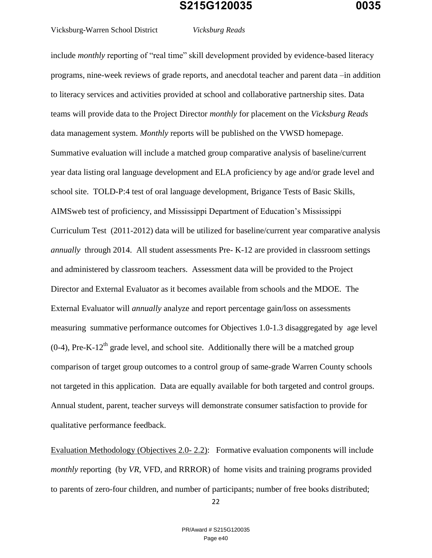Vicksburg-Warren School District *Vicksburg Reads*

include *monthly* reporting of "real time" skill development provided by evidence-based literacy programs, nine-week reviews of grade reports, and anecdotal teacher and parent data –in addition to literacy services and activities provided at school and collaborative partnership sites. Data

teams will provide data to the Project Director *monthly* for placement on the *Vicksburg Reads* data management system. *Monthly* reports will be published on the VWSD homepage. Summative evaluation will include a matched group comparative analysis of baseline/current year data listing oral language development and ELA proficiency by age and/or grade level and school site. TOLD-P:4 test of oral language development, Brigance Tests of Basic Skills, AIMSweb test of proficiency, and Mississippi Department of Education's Mississippi Curriculum Test (2011-2012) data will be utilized for baseline/current year comparative analysis *annually* through 2014. All student assessments Pre- K-12 are provided in classroom settings and administered by classroom teachers. Assessment data will be provided to the Project Director and External Evaluator as it becomes available from schools and the MDOE. The External Evaluator will *annually* analyze and report percentage gain/loss on assessments measuring summative performance outcomes for Objectives 1.0-1.3 disaggregated by age level  $(0-4)$ , Pre-K-12<sup>th</sup> grade level, and school site. Additionally there will be a matched group comparison of target group outcomes to a control group of same-grade Warren County schools not targeted in this application. Data are equally available for both targeted and control groups. Annual student, parent, teacher surveys will demonstrate consumer satisfaction to provide for qualitative performance feedback.

Evaluation Methodology (Objectives 2.0- 2.2): Formative evaluation components will include *monthly* reporting (by *VR*, VFD, and RRROR) of home visits and training programs provided to parents of zero-four children, and number of participants; number of free books distributed;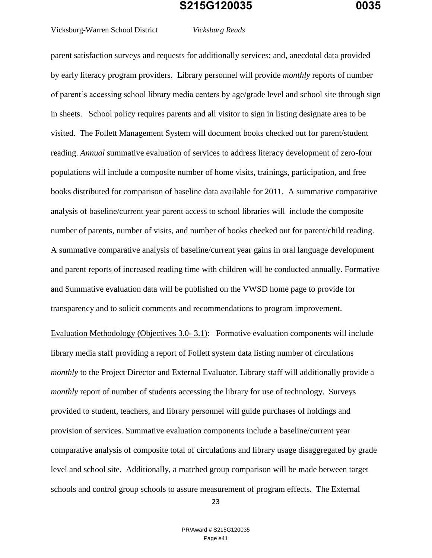Vicksburg-Warren School District *Vicksburg Reads*

parent satisfaction surveys and requests for additionally services; and, anecdotal data provided by early literacy program providers. Library personnel will provide *monthly* reports of number of parent's accessing school library media centers by age/grade level and school site through sign in sheets. School policy requires parents and all visitor to sign in listing designate area to be visited. The Follett Management System will document books checked out for parent/student reading. *Annual* summative evaluation of services to address literacy development of zero-four populations will include a composite number of home visits, trainings, participation, and free books distributed for comparison of baseline data available for 2011. A summative comparative analysis of baseline/current year parent access to school libraries will include the composite number of parents, number of visits, and number of books checked out for parent/child reading. A summative comparative analysis of baseline/current year gains in oral language development and parent reports of increased reading time with children will be conducted annually. Formative and Summative evaluation data will be published on the VWSD home page to provide for transparency and to solicit comments and recommendations to program improvement.

Evaluation Methodology (Objectives 3.0- 3.1): Formative evaluation components will include library media staff providing a report of Follett system data listing number of circulations *monthly* to the Project Director and External Evaluator. Library staff will additionally provide a *monthly* report of number of students accessing the library for use of technology. Surveys provided to student, teachers, and library personnel will guide purchases of holdings and provision of services. Summative evaluation components include a baseline/current year comparative analysis of composite total of circulations and library usage disaggregated by grade level and school site. Additionally, a matched group comparison will be made between target schools and control group schools to assure measurement of program effects. The External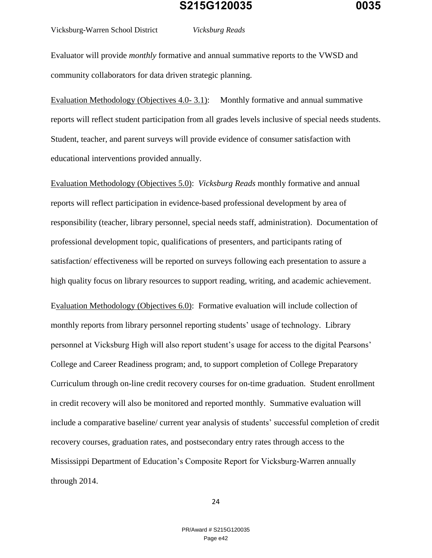Vicksburg-Warren School District *Vicksburg Reads*

Evaluator will provide *monthly* formative and annual summative reports to the VWSD and community collaborators for data driven strategic planning.

Evaluation Methodology (Objectives 4.0-3.1): Monthly formative and annual summative reports will reflect student participation from all grades levels inclusive of special needs students. Student, teacher, and parent surveys will provide evidence of consumer satisfaction with educational interventions provided annually.

Evaluation Methodology (Objectives 5.0): *Vicksburg Reads* monthly formative and annual reports will reflect participation in evidence-based professional development by area of responsibility (teacher, library personnel, special needs staff, administration). Documentation of professional development topic, qualifications of presenters, and participants rating of satisfaction/ effectiveness will be reported on surveys following each presentation to assure a high quality focus on library resources to support reading, writing, and academic achievement. Evaluation Methodology (Objectives 6.0): Formative evaluation will include collection of monthly reports from library personnel reporting students' usage of technology. Library personnel at Vicksburg High will also report student's usage for access to the digital Pearsons' College and Career Readiness program; and, to support completion of College Preparatory Curriculum through on-line credit recovery courses for on-time graduation. Student enrollment in credit recovery will also be monitored and reported monthly. Summative evaluation will include a comparative baseline/ current year analysis of students' successful completion of credit recovery courses, graduation rates, and postsecondary entry rates through access to the Mississippi Department of Education's Composite Report for Vicksburg-Warren annually through 2014.